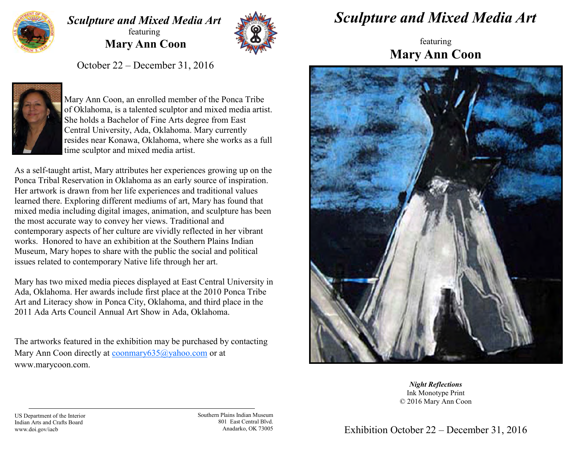

## *Sculpture and Mixed Media Art* featuring **Mary Ann Coon**



October 22 – December 31, 2016



Mary Ann Coon, an enrolled member of the Ponca Tribe of Oklahoma, is a talented sculptor and mixed media artist. She holds a Bachelor of Fine Arts degree from East Central University, Ada, Oklahoma. Mary currently resides near Konawa, Oklahoma, where she works as a full time sculptor and mixed media artist.

As a self-taught artist, Mary attributes her experiences growing up on the Ponca Tribal Reservation in Oklahoma as an early source of inspiration. Her artwork is drawn from her life experiences and traditional values learned there. Exploring different mediums of art, Mary has found that mixed media including digital images, animation, and sculpture has been the most accurate way to convey her views. Traditional and contemporary aspects of her culture are vividly reflected in her vibrant works. Honored to have an exhibition at the Southern Plains Indian Museum, Mary hopes to share with the public the social and political issues related to contemporary Native life through her art.

Mary has two mixed media pieces displayed at East Central University in Ada, Oklahoma. Her awards include first place at the 2010 Ponca Tribe Art and Literacy show in Ponca City, Oklahoma, and third place in the 2011 Ada Arts Council Annual Art Show in Ada, Oklahoma.

The artworks featured in the exhibition may be purchased by contacting Mary Ann Coon directly at [coonmary635@yahoo.com](mailto:coonmary635@yahoo.com) or at www.marycoon.com.

## *Sculpture and Mixed Media Art*

featuring **Mary Ann Coon** 



*Night Reflections* Ink Monotype Print © 2016 Mary Ann Coon

US Department of the Interior Indian Arts and Crafts Board www.doi.gov/iacb

Southern Plains Indian Museum 801 East Central Blvd. Anadarko, OK 73005

Exhibition October 22 – December 31, 2016